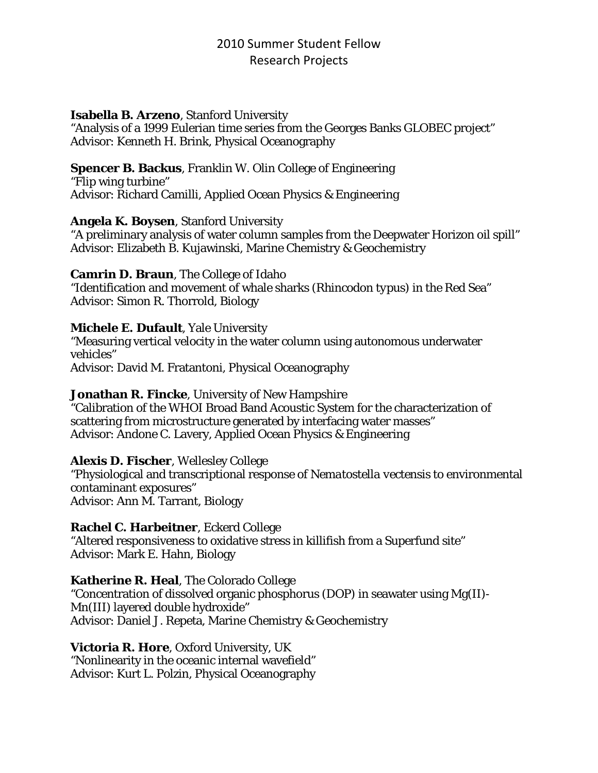# 2010 Summer Student Fellow Research Projects

### **Isabella B. Arzeno**, Stanford University

"Analysis of a 1999 Eulerian time series from the Georges Banks GLOBEC project" Advisor: Kenneth H. Brink, Physical Oceanography

# **Spencer B. Backus**, Franklin W. Olin College of Engineering

"Flip wing turbine" Advisor: Richard Camilli, Applied Ocean Physics & Engineering

## **Angela K. Boysen**, Stanford University

"A preliminary analysis of water column samples from the Deepwater Horizon oil spill" Advisor: Elizabeth B. Kujawinski, Marine Chemistry & Geochemistry

## **Camrin D. Braun**, The College of Idaho

"Identification and movement of whale sharks (*Rhincodon typus*) in the Red Sea" Advisor: Simon R. Thorrold, Biology

## **Michele E. Dufault**, Yale University

"Measuring vertical velocity in the water column using autonomous underwater vehicles" Advisor: David M. Fratantoni, Physical Oceanography

## **Jonathan R. Fincke**, University of New Hampshire

"Calibration of the WHOI Broad Band Acoustic System for the characterization of scattering from microstructure generated by interfacing water masses" Advisor: Andone C. Lavery, Applied Ocean Physics & Engineering

## **Alexis D. Fischer**, Wellesley College

"Physiological and transcriptional response of *Nematostella vectensis* to environmental contaminant exposures" Advisor: Ann M. Tarrant, Biology

## **Rachel C. Harbeitner**, Eckerd College

"Altered responsiveness to oxidative stress in killifish from a Superfund site" Advisor: Mark E. Hahn, Biology

## **Katherine R. Heal**, The Colorado College

"Concentration of dissolved organic phosphorus (DOP) in seawater using Mg(II)- Mn(III) layered double hydroxide" Advisor: Daniel J. Repeta, Marine Chemistry & Geochemistry

**Victoria R. Hore**, Oxford University, UK "Nonlinearity in the oceanic internal wavefield" Advisor: Kurt L. Polzin, Physical Oceanography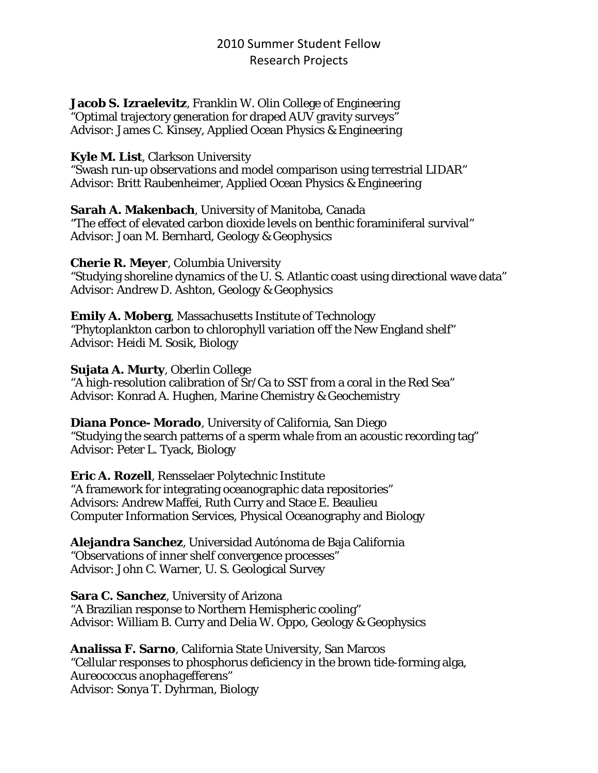# 2010 Summer Student Fellow Research Projects

**Jacob S. Izraelevitz**, Franklin W. Olin College of Engineering "Optimal trajectory generation for draped AUV gravity surveys" Advisor: James C. Kinsey, Applied Ocean Physics & Engineering

## **Kyle M. List**, Clarkson University

"Swash run-up observations and model comparison using terrestrial LIDAR" Advisor: Britt Raubenheimer, Applied Ocean Physics & Engineering

**Sarah A. Makenbach**, University of Manitoba, Canada "The effect of elevated carbon dioxide levels on benthic foraminiferal survival" Advisor: Joan M. Bernhard, Geology & Geophysics

**Cherie R. Meyer**, Columbia University "Studying shoreline dynamics of the U. S. Atlantic coast using directional wave data" Advisor: Andrew D. Ashton, Geology & Geophysics

**Emily A. Moberg**, Massachusetts Institute of Technology "Phytoplankton carbon to chlorophyll variation off the New England shelf" Advisor: Heidi M. Sosik, Biology

**Sujata A. Murty**, Oberlin College

"A high-resolution calibration of Sr/Ca to SST from a coral in the Red Sea" Advisor: Konrad A. Hughen, Marine Chemistry & Geochemistry

**Diana Ponce- Morado**, University of California, San Diego "Studying the search patterns of a sperm whale from an acoustic recording tag" Advisor: Peter L. Tyack, Biology

**Eric A. Rozell**, Rensselaer Polytechnic Institute "A framework for integrating oceanographic data repositories" Advisors: Andrew Maffei, Ruth Curry and Stace E. Beaulieu Computer Information Services, Physical Oceanography and Biology

**Alejandra Sanchez**, Universidad Autónoma de Baja California "Observations of inner shelf convergence processes" Advisor: John C. Warner, U. S. Geological Survey

**Sara C. Sanchez**, University of Arizona "A Brazilian response to Northern Hemispheric cooling" Advisor: William B. Curry and Delia W. Oppo, Geology & Geophysics

**Analissa F. Sarno**, California State University, San Marcos "Cellular responses to phosphorus deficiency in the brown tide-forming alga, *Aureococcus anophagefferens*" Advisor: Sonya T. Dyhrman, Biology